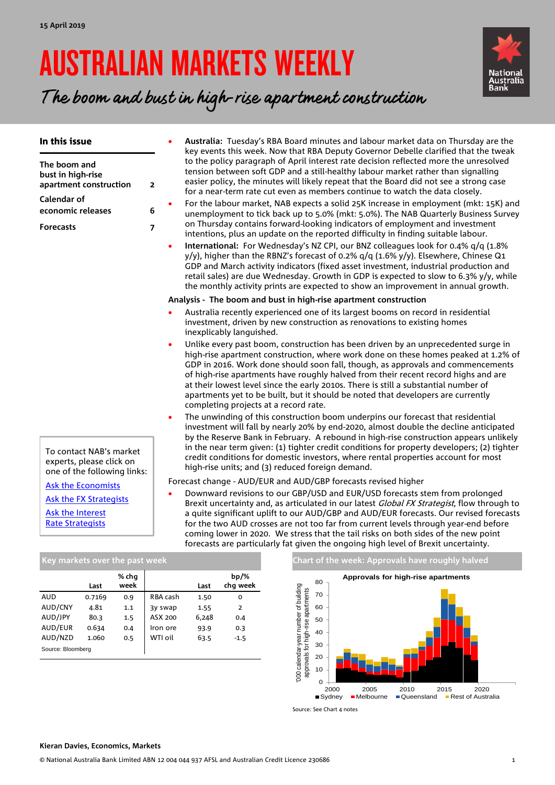# AUSTRALIAN MARKETS WEEKLY



The boom and bust in high-rise apartment construction

| In this issue                                                                      |                         | Australia: Tuesday's RBA Board minutes and labour market data on Thursday are the<br>key events this week. Now that RBA Deputy Governor Debelle clarified that the tweak                                                                                                                                                                                                                                                                                                                                                                                             |
|------------------------------------------------------------------------------------|-------------------------|----------------------------------------------------------------------------------------------------------------------------------------------------------------------------------------------------------------------------------------------------------------------------------------------------------------------------------------------------------------------------------------------------------------------------------------------------------------------------------------------------------------------------------------------------------------------|
| The boom and<br>bust in high-rise<br>apartment construction                        | $\overline{\mathbf{2}}$ | to the policy paragraph of April interest rate decision reflected more the unresolved<br>tension between soft GDP and a still-healthy labour market rather than signalling<br>easier policy, the minutes will likely repeat that the Board did not see a strong case<br>for a near-term rate cut even as members continue to watch the data closely.                                                                                                                                                                                                                 |
| Calendar of<br>economic releases                                                   | 6                       | For the labour market, NAB expects a solid 25K increase in employment (mkt: 15K) and<br>unemployment to tick back up to 5.0% (mkt: 5.0%). The NAB Quarterly Business Survey                                                                                                                                                                                                                                                                                                                                                                                          |
| <b>Forecasts</b>                                                                   | $\overline{7}$          | on Thursday contains forward-looking indicators of employment and investment<br>intentions, plus an update on the reported difficulty in finding suitable labour.                                                                                                                                                                                                                                                                                                                                                                                                    |
|                                                                                    | $\bullet$               | International: For Wednesday's NZ CPI, our BNZ colleagues look for 0.4% q/q (1.8%<br>$y/y$ , higher than the RBNZ's forecast of 0.2% $q/q$ (1.6% $y/y$ ). Elsewhere, Chinese Q1<br>GDP and March activity indicators (fixed asset investment, industrial production and<br>retail sales) are due Wednesday. Growth in GDP is expected to slow to 6.3% y/y, while<br>the monthly activity prints are expected to show an improvement in annual growth.                                                                                                                |
|                                                                                    |                         | Analysis - The boom and bust in high-rise apartment construction                                                                                                                                                                                                                                                                                                                                                                                                                                                                                                     |
|                                                                                    |                         | Australia recently experienced one of its largest booms on record in residential<br>investment, driven by new construction as renovations to existing homes<br>inexplicably languished.                                                                                                                                                                                                                                                                                                                                                                              |
|                                                                                    |                         | Unlike every past boom, construction has been driven by an unprecedented surge in<br>high-rise apartment construction, where work done on these homes peaked at 1.2% of<br>GDP in 2016. Work done should soon fall, though, as approvals and commencements<br>of high-rise apartments have roughly halved from their recent record highs and are<br>at their lowest level since the early 2010s. There is still a substantial number of<br>apartments yet to be built, but it should be noted that developers are currently<br>completing projects at a record rate. |
|                                                                                    |                         | The unwinding of this construction boom underpins our forecast that residential<br>investment will fall by nearly 20% by end-2020, almost double the decline anticipated<br>by the Reserve Bank in February. A rebound in high-rise construction appears unlikely                                                                                                                                                                                                                                                                                                    |
| To contact NAB's market<br>experts, please click on<br>one of the following links: |                         | in the near term given: (1) tighter credit conditions for property developers; (2) tighter<br>credit conditions for domestic investors, where rental properties account for most<br>high-rise units; and (3) reduced foreign demand.                                                                                                                                                                                                                                                                                                                                 |
| <b>Ask the Economists</b>                                                          |                         | Forecast change - AUD/EUR and AUD/GBP forecasts revised higher                                                                                                                                                                                                                                                                                                                                                                                                                                                                                                       |
| <b>Ask the FX Strategists</b>                                                      |                         | Downward revisions to our GBP/USD and EUR/USD forecasts stem from prolonged<br>Brexit uncertainty and, as articulated in our latest <i>Global FX Strategist</i> , flow through to                                                                                                                                                                                                                                                                                                                                                                                    |
| Ask the Interest<br><b>Rate Strategists</b>                                        |                         | a quite significant uplift to our AUD/GBP and AUD/EUR forecasts. Our revised forecasts<br>for the two AUD crosses are not too far from current levels through year-end before<br>coming lower in 2020. We stress that the tail risks on both sides of the new point                                                                                                                                                                                                                                                                                                  |

|                   | Last   | % chq<br>week |          | Last  | $bp/\%$<br>chg week |
|-------------------|--------|---------------|----------|-------|---------------------|
| <b>AUD</b>        | 0.7169 | 0.9           | RBA cash | 1.50  | 0                   |
| AUD/CNY           | 4.81   | 1.1           | 3y swap  | 1.55  | $\overline{2}$      |
| AUD/JPY           | 80.3   | 1.5           | ASX 200  | 6,248 | 0.4                 |
| AUD/EUR           | 0.634  | 0.4           | Iron ore | 93.9  | 0.3                 |
| AUD/NZD           | 1.060  | 0.5           | WTI oil  | 63.5  | $-1.5$              |
| Source: Bloomberg |        |               |          |       |                     |

**Chart of the week: Approvals have roughly halved** 



Source: See Chart 4 notes

forecasts are particularly fat given the ongoing high level of Brexit uncertainty.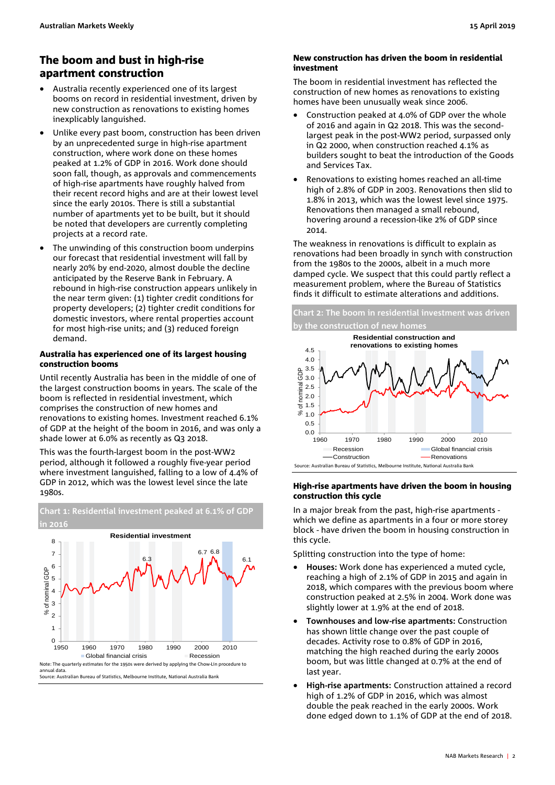### <span id="page-1-0"></span>The boom and bust in high-rise apartment construction

- Australia recently experienced one of its largest booms on record in residential investment, driven by new construction as renovations to existing homes inexplicably languished.
- Unlike every past boom, construction has been driven by an unprecedented surge in high-rise apartment construction, where work done on these homes peaked at 1.2% of GDP in 2016. Work done should soon fall, though, as approvals and commencements of high-rise apartments have roughly halved from their recent record highs and are at their lowest level since the early 2010s. There is still a substantial number of apartments yet to be built, but it should be noted that developers are currently completing projects at a record rate.
- The unwinding of this construction boom underpins our forecast that residential investment will fall by nearly 20% by end-2020, almost double the decline anticipated by the Reserve Bank in February. A rebound in high-rise construction appears unlikely in the near term given: (1) tighter credit conditions for property developers; (2) tighter credit conditions for domestic investors, where rental properties account for most high-rise units; and (3) reduced foreign demand.

### Australia has experienced one of its largest housing construction booms

Until recently Australia has been in the middle of one of the largest construction booms in years. The scale of the boom is reflected in residential investment, which comprises the construction of new homes and renovations to existing homes. Investment reached 6.1% of GDP at the height of the boom in 2016, and was only a shade lower at 6.0% as recently as Q3 2018.

This was the fourth-largest boom in the post-WW2 period, although it followed a roughly five-year period where investment languished, falling to a low of 4.4% of GDP in 2012, which was the lowest level since the late 1980s.



### New construction has driven the boom in residential investment

The boom in residential investment has reflected the construction of new homes as renovations to existing homes have been unusually weak since 2006.

- Construction peaked at 4.0% of GDP over the whole of 2016 and again in Q2 2018. This was the secondlargest peak in the post-WW2 period, surpassed only in Q2 2000, when construction reached 4.1% as builders sought to beat the introduction of the Goods and Services Tax.
- Renovations to existing homes reached an all-time high of 2.8% of GDP in 2003. Renovations then slid to 1.8% in 2013, which was the lowest level since 1975. Renovations then managed a small rebound, hovering around a recession-like 2% of GDP since 2014.

The weakness in renovations is difficult to explain as renovations had been broadly in synch with construction from the 1980s to the 2000s, albeit in a much more damped cycle. We suspect that this could partly reflect a measurement problem, where the Bureau of Statistics finds it difficult to estimate alterations and additions.

**Chart 2: The boom in residential investment was driven by the construction of new homes**



### High-rise apartments have driven the boom in housing construction this cycle

In a major break from the past, high-rise apartments which we define as apartments in a four or more storey block - have driven the boom in housing construction in this cycle.

Splitting construction into the type of home:

- **Houses:** Work done has experienced a muted cycle, reaching a high of 2.1% of GDP in 2015 and again in 2018, which compares with the previous boom where construction peaked at 2.5% in 2004. Work done was slightly lower at 1.9% at the end of 2018.
- **Townhouses and low-rise apartments:** Construction has shown little change over the past couple of decades. Activity rose to 0.8% of GDP in 2016, matching the high reached during the early 2000s boom, but was little changed at 0.7% at the end of last year.
- **High-rise apartments:** Construction attained a record high of 1.2% of GDP in 2016, which was almost double the peak reached in the early 2000s. Work done edged down to 1.1% of GDP at the end of 2018.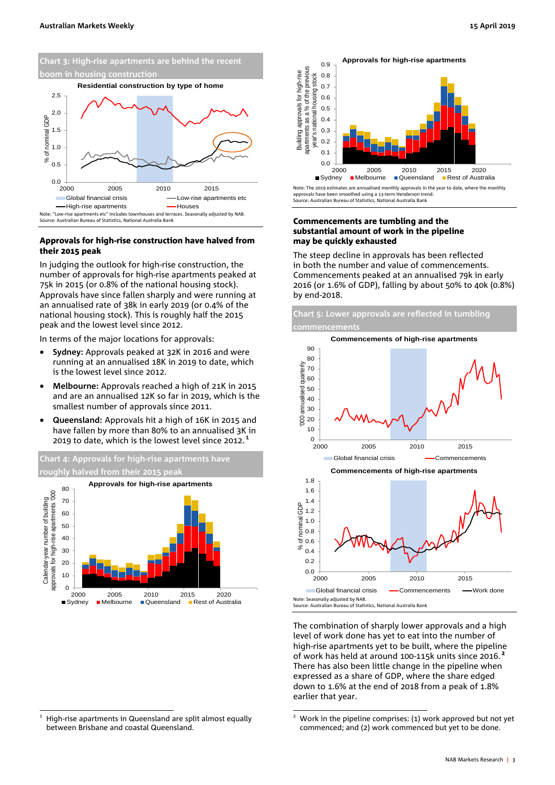

### Approvals for high-rise construction have halved from their 2015 peak

In judging the outlook for high-rise construction, the number of approvals for high-rise apartments peaked at 75k in 2015 (or 0.8% of the national housing stock). Approvals have since fallen sharply and were running at an annualised rate of 38k in early 2019 (or 0.4% of the national housing stock). This is roughly half the 2015 peak and the lowest level since 2012.

In terms of the major locations for approvals:

- **Sydney:** Approvals peaked at 32K in 2016 and were running at an annualised 18K in 2019 to date, which is the lowest level since 2012.
- **Melbourne:** Approvals reached a high of 21K in 2015 and are an annualised 12K so far in 2019, which is the smallest number of approvals since 2011.
- **Queensland:** Approvals hit a high of 16K in 2015 and have fallen by more than 80% to an annualised 3K in 2019 to date, which is the lowest level since 2012. $<sup>1</sup>$ </sup>





Note: The 2019 estimates are annualised monthly approvals in the year to date, where the monthly approvals have been smoothed using a 13-term Henderson trend. Source: Australian Bureau of Statistics, National Australia Bank

### Commencements are tumbling and the substantial amount of work in the pipeline may be quickly exhausted

The steep decline in approvals has been reflected in both the number and value of commencements. Commencements peaked at an annualised 79k in early 2016 (or 1.6% of GDP), falling by about 50% to 40k (0.8%) by end-2018.



The combination of sharply lower approvals and a high level of work done has yet to eat into the number of high-rise apartments yet to be built, where the pipeline of work has held at around 100-115k units since 2016.<sup>2</sup> There has also been little change in the pipeline when expressed as a share of GDP, where the share edged down to 1.6% at the end of 2018 from a peak of 1.8% earlier that year.

 <sup>1</sup> High-rise apartments in Queensland are split almost equally between Brisbane and coastal Queensland.

Work in the pipeline comprises: (1) work approved but not yet commenced; and (2) work commenced but yet to be done.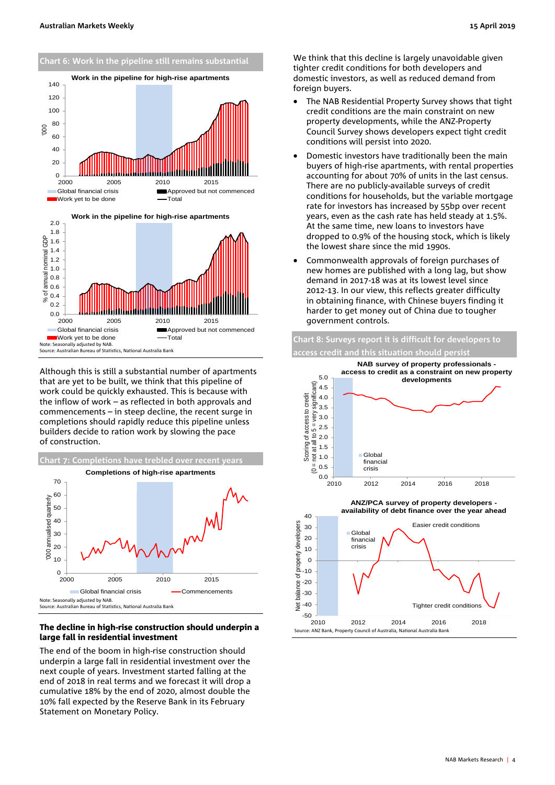

Source: Australian Bureau of Statistics, National Australia Bank

Although this is still a substantial number of apartments that are yet to be built, we think that this pipeline of work could be quickly exhausted. This is because with the inflow of work – as reflected in both approvals and commencements – in steep decline, the recent surge in completions should rapidly reduce this pipeline unless builders decide to ration work by slowing the pace of construction.



### The decline in high-rise construction should underpin a large fall in residential investment

The end of the boom in high-rise construction should underpin a large fall in residential investment over the next couple of years. Investment started falling at the end of 2018 in real terms and we forecast it will drop a cumulative 18% by the end of 2020, almost double the 10% fall expected by the Reserve Bank in its February Statement on Monetary Policy.

We think that this decline is largely unavoidable given tighter credit conditions for both developers and domestic investors, as well as reduced demand from foreign buyers.

- The NAB Residential Property Survey shows that tight credit conditions are the main constraint on new property developments, while the ANZ-Property Council Survey shows developers expect tight credit conditions will persist into 2020.
- Domestic investors have traditionally been the main buyers of high-rise apartments, with rental properties accounting for about 70% of units in the last census. There are no publicly-available surveys of credit conditions for households, but the variable mortgage rate for investors has increased by 55bp over recent years, even as the cash rate has held steady at 1.5%. At the same time, new loans to investors have dropped to 0.9% of the housing stock, which is likely the lowest share since the mid 1990s.
- Commonwealth approvals of foreign purchases of new homes are published with a long lag, but show demand in 2017-18 was at its lowest level since 2012-13. In our view, this reflects greater difficulty in obtaining finance, with Chinese buyers finding it harder to get money out of China due to tougher government controls.



Source: ANZ Bank, Property Council of Australia, National Australia Bank  $-50$   $\frac{1}{2010}$ 2010 2012 2014 2016 2018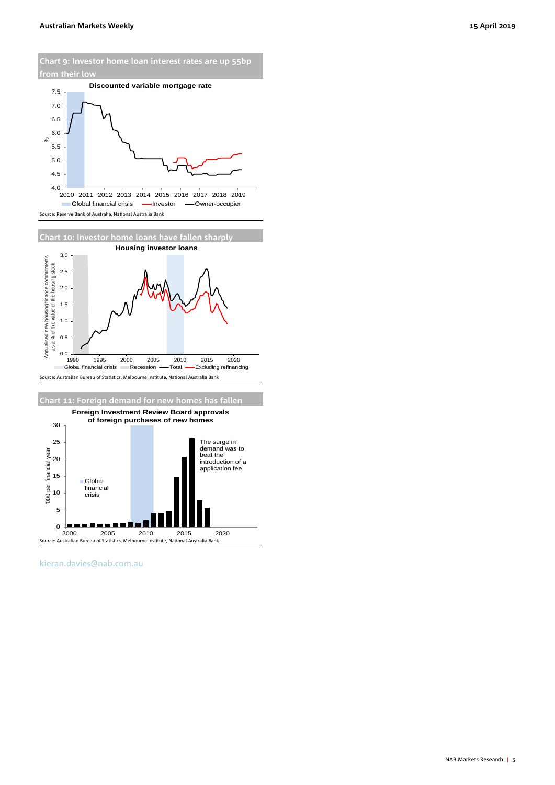**Chart 9: Investor home loan interest rates are up 55bp from their low**









[kieran.davies@nab.com.au](mailto:kieran.davies@nab.com.au)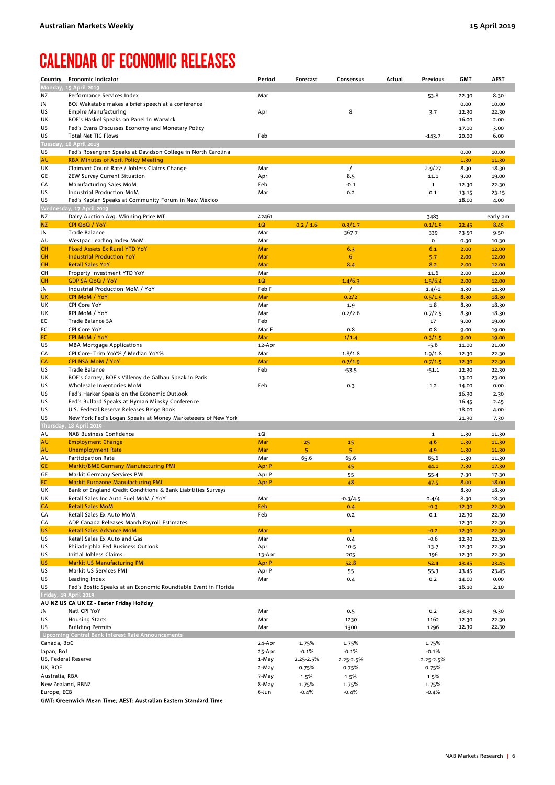### <span id="page-5-0"></span>CALENDAR OF ECONOMIC RELEASES

| Country                          | <b>Economic Indicator</b>                                                               | Period       | Forecast  | Consensus        | Actual | Previous              | <b>GMT</b>     | <b>AEST</b>    |
|----------------------------------|-----------------------------------------------------------------------------------------|--------------|-----------|------------------|--------|-----------------------|----------------|----------------|
|                                  | Monday, 15 April 2019                                                                   |              |           |                  |        |                       |                |                |
| ΝZ                               | Performance Services Index                                                              | Mar          |           |                  |        | 53.8                  | 22.30          | 8.30           |
| JN                               | BOJ Wakatabe makes a brief speech at a conference                                       |              |           |                  |        |                       | 0.00           | 10.00          |
| US                               | <b>Empire Manufacturing</b>                                                             | Apr          |           | 8                |        | 3.7                   | 12.30          | 22.30          |
| UK                               | BOE's Haskel Speaks on Panel in Warwick                                                 |              |           |                  |        |                       | 16.00          | 2.00           |
| US                               | Fed's Evans Discusses Economy and Monetary Policy                                       |              |           |                  |        |                       | 17.00          | 3.00           |
| US<br><b>Tuesday</b>             | Total Net TIC Flows<br>16 April 2019                                                    | Feb          |           |                  |        | $-143.7$              | 20.00          | 6.00           |
| US                               | Fed's Rosengren Speaks at Davidson College in North Carolina                            |              |           |                  |        |                       | 0.00           | 10.00          |
| <b>AU</b>                        | <b>RBA Minutes of April Policy Meeting</b>                                              |              |           |                  |        |                       | 1.30           | 11.30          |
| UK                               | Claimant Count Rate / Jobless Claims Change                                             | Mar          |           | $\prime$         |        | 2.9/27                | 8.30           | 18.30          |
| GE                               | ZEW Survey Current Situation                                                            | Apr          |           | 8.5              |        | 11.1                  | 9.00           | 19.00          |
| CA                               | Manufacturing Sales MoM                                                                 | Feb          |           | $-0.1$           |        | $\mathbf{1}$          | 12.30          | 22.30          |
| US                               | Industrial Production MoM                                                               | Mar          |           | 0.2              |        | 0.1                   | 13.15          | 23.15          |
| US                               | Fed's Kaplan Speaks at Community Forum in New Mexico                                    |              |           |                  |        |                       | 18.00          | 4.00           |
|                                  | Wednesday, 17 April 2019                                                                |              |           |                  |        |                       |                |                |
| ΝZ                               | Dairy Auction Avg. Winning Price MT                                                     | 42461        |           |                  |        | 3483                  |                | early am       |
| <b>NZ</b><br>JN                  | CPI QoQ / YoY<br><b>Trade Balance</b>                                                   | 1Q<br>Mar    | 0.2 / 1.6 | 0.3/1.7<br>367.7 |        | 0.1/1.9               | 22.45          | 8.45           |
| AU                               | Westpac Leading Index MoM                                                               | Mar          |           |                  |        | 339<br>$\mathsf{o}\,$ | 23.50<br>0.30  | 9.50<br>10.30  |
| CН                               | <b>Fixed Assets Ex Rural YTD YoY</b>                                                    | Mar          |           | 6.3              |        | 6.1                   | 2.00           | 12.00          |
| CН                               | <b>Industrial Production YoY</b>                                                        | Mar          |           | $6\phantom{1}$   |        | 5.7                   | 2.00           | 12.00          |
| cн                               | <b>Retail Sales YoY</b>                                                                 | Mar          |           | 8.4              |        | 8.2                   | 2.00           | 12.00          |
| CН                               | Property Investment YTD YoY                                                             | Mar          |           |                  |        | 11.6                  | 2.00           | 12.00          |
| CH                               | <b>GDP SA QoQ / YoY</b>                                                                 | 1Q           |           | 1.4/6.3          |        | 1.5/6.4               | 2.00           | 12.00          |
| JN                               | Industrial Production MoM / YoY                                                         | Feb F        |           | $\prime$         |        | $1.4/-1$              | 4.30           | 14.30          |
| UK                               | <b>CPI MoM / YoY</b>                                                                    | Mar          |           | 0.2/2            |        | 0.5/1.9               | 8.30           | 18.30          |
| UK                               | CPI Core YoY                                                                            | Mar          |           | 1.9              |        | 1.8                   | 8.30           | 18.30          |
| UK                               | RPI MoM / YoY                                                                           | Mar          |           | 0.2/2.6          |        | 0.7/2.5               | 8.30           | 18.30          |
| EС                               | Trade Balance SA<br>CPI Core YoY                                                        | Feb          |           |                  |        | 17                    | 9.00           | 19.00          |
| EС<br>EC                         | <b>CPI MoM / YoY</b>                                                                    | Mar F<br>Mar |           | 0.8<br>1/1.4     |        | 0.8<br>0.3/1.5        | 9.00<br>9.00   | 19.00<br>19.00 |
| US                               | <b>MBA Mortgage Applications</b>                                                        | 12-Apr       |           |                  |        | $-5.6$                | 11.00          | 21.00          |
| CA                               | CPI Core- Trim YoY% / Median YoY%                                                       | Mar          |           | 1.8/1.8          |        | 1.9/1.8               | 12.30          | 22.30          |
| CA                               | <b>CPI NSA MoM / YoY</b>                                                                | Mar          |           | 0.7/1.9          |        | 0.7/1.5               | 12.30          | 22.30          |
| US                               | <b>Trade Balance</b>                                                                    | Feb          |           | $-53.5$          |        | $-51.1$               | 12.30          | 22.30          |
| UK                               | BOE's Carney, BOF's Villeroy de Galhau Speak in Paris                                   |              |           |                  |        |                       | 13.00          | 23.00          |
| US                               | Wholesale Inventories MoM                                                               | Feb          |           | 0.3              |        | 1.2                   | 14.00          | 0.00           |
| US                               | Fed's Harker Speaks on the Economic Outlook                                             |              |           |                  |        |                       | 16.30          | 2.30           |
| US                               | Fed's Bullard Speaks at Hyman Minsky Conference                                         |              |           |                  |        |                       | 16.45          | 2.45           |
| US                               | U.S. Federal Reserve Releases Beige Book                                                |              |           |                  |        |                       | 18.00          | 4.00           |
| US                               | New York Fed's Logan Speaks at Money Marketeeers of New York<br>Thursday, 18 April 2019 |              |           |                  |        |                       | 21.30          | 7.30           |
| AU                               | <b>NAB Business Confidence</b>                                                          | 1Q           |           |                  |        | $\mathbf 1$           | 1.30           | 11.30          |
| AU                               | <b>Employment Change</b>                                                                | Mar          | 25        | 15               |        | 4.6                   | 1.30           | 11.30          |
| AU                               | <b>Unemployment Rate</b>                                                                | Mar          | 5         | 5                |        | 4.9                   | 1.30           | 11.30          |
| AU                               | Participation Rate                                                                      | Mar          | 65.6      | 65.6             |        | 65.6                  | 1.30           | 11.30          |
| GE                               | <b>Markit/BME Germany Manufacturing PMI</b>                                             | Apr P        |           | 45               |        | 44.1                  | 7.30           | 17.30          |
| GE                               | Markit Germany Services PMI                                                             | Apr P        |           | 55               |        | 55.4                  | 7.30           | 17.30          |
| EC                               | <b>Markit Eurozone Manufacturing PMI</b>                                                | Apr P        |           | 48               |        | 47.5                  | 8.00           | 18.00          |
| UK                               | Bank of England Credit Conditions & Bank Liabilities Surveys                            |              |           |                  |        |                       | 8.30           | 18.30          |
| UK                               | Retail Sales Inc Auto Fuel MoM / YoY<br><b>Retail Sales MoM</b>                         | Mar<br>Feb   |           | $-0.3/4.5$       |        | 0.4/4                 | 8.30           | 18.30          |
| CA<br>CA                         | Retail Sales Ex Auto MoM                                                                | Feb          |           | 0.4<br>0.2       |        | $-0.3$<br>0.1         | 12.30<br>12.30 | 22.30<br>22.30 |
| CA                               | ADP Canada Releases March Payroll Estimates                                             |              |           |                  |        |                       | 12.30          | 22.30          |
| US                               | <b>Retail Sales Advance MoM</b>                                                         | <b>Mar</b>   |           | $\mathbf{1}$     |        | $-0.2$                | 12.30          | 22.30          |
| US                               | Retail Sales Ex Auto and Gas                                                            | Mar          |           | 0.4              |        | $-0.6$                | 12.30          | 22.30          |
| US                               | Philadelphia Fed Business Outlook                                                       | Apr          |           | 10.5             |        | 13.7                  | 12.30          | 22.30          |
| US                               | Initial Jobless Claims                                                                  | 13-Apr       |           | 205              |        | 196                   | 12.30          | 22.30          |
| US                               | <b>Markit US Manufacturing PMI</b>                                                      | Apr P        |           | 52.8             |        | 52.4                  | 13.45          | 23.45          |
| US                               | Markit US Services PMI                                                                  | Apr P        |           | 55               |        | 55.3                  | 13.45          | 23.45          |
| US                               | Leading Index                                                                           | Mar          |           | 0.4              |        | 0.2                   | 14.00          | 0.00           |
| US                               | Fed's Bostic Speaks at an Economic Roundtable Event in Florida                          |              |           |                  |        |                       | 16.10          | 2.10           |
|                                  | Friday, 19 April 2019<br>AU NZ US CA UK EZ - Easter Friday Holiday                      |              |           |                  |        |                       |                |                |
| JN                               | Natl CPI YoY                                                                            | Mar          |           | 0.5              |        | 0.2                   | 23.30          | 9.30           |
| US                               | <b>Housing Starts</b>                                                                   | Mar          |           | 1230             |        | 1162                  | 12.30          | 22.30          |
| US                               | <b>Building Permits</b>                                                                 | Mar          |           | 1300             |        | 1296                  | 12.30          | 22.30          |
|                                  | Upcoming Central Bank Interest Rate Announcements                                       |              |           |                  |        |                       |                |                |
| Canada, BoC                      |                                                                                         | 24-Apr       | 1.75%     | 1.75%            |        | 1.75%                 |                |                |
| Japan, BoJ                       |                                                                                         | 25-Apr       | $-0.1%$   | $-0.1%$          |        | $-0.1%$               |                |                |
| US, Federal Reserve              |                                                                                         | 1-May        | 2.25-2.5% | 2.25-2.5%        |        | 2.25-2.5%             |                |                |
| UK, BOE                          |                                                                                         | 2-May        | 0.75%     | 0.75%            |        | 0.75%                 |                |                |
| Australia, RBA                   |                                                                                         | 7-May        | 1.5%      | 1.5%             |        | 1.5%                  |                |                |
| New Zealand, RBNZ<br>Europe, ECB |                                                                                         | 8-May        | 1.75%     | 1.75%            |        | 1.75%                 |                |                |
|                                  |                                                                                         | 6-Jun        | $-0.4%$   | $-0.4%$          |        | $-0.4%$               |                |                |

GMT: Greenwich Mean Time; AEST: Australian Eastern Standard Time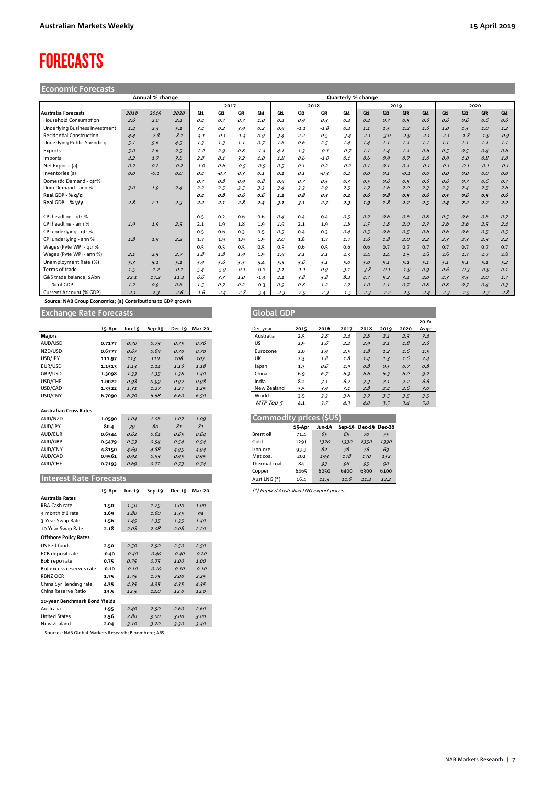## <span id="page-6-0"></span>FORECASTS

### **Economic Forecasts**

| Annual % change<br>Quarterly % change |        |        |        |                |                |        |        |                |                |        |        |                |                |        |        |                |                |        |        |
|---------------------------------------|--------|--------|--------|----------------|----------------|--------|--------|----------------|----------------|--------|--------|----------------|----------------|--------|--------|----------------|----------------|--------|--------|
|                                       |        |        |        |                | 2017           |        |        |                |                | 2018   |        |                | 2019           |        |        |                | 2020           |        |        |
| <b>Australia Forecasts</b>            | 2018   | 2019   | 2020   | Q <sub>1</sub> | Q <sub>2</sub> | Q3     | Q4     | Q <sub>1</sub> | Q <sub>2</sub> | Q3     | Q4     | Q <sub>1</sub> | Q <sub>2</sub> | Q3     | Q4     | Q <sub>1</sub> | Q <sub>2</sub> | Q3     | Q4     |
| <b>Household Consumption</b>          | 2.6    | 2.0    | 2.4    | 0.4            | 0.7            | 0.7    | 1.0    | 0.4            | 0.9            | 0.3    | 0.4    | 0.4            | 0.7            | 0.5    | 0.6    | 0.6            | 0.6            | 0.6    | 0.6    |
| <b>Underlying Business Investment</b> | 1.4    | 2.3    | 5.1    | 3.4            | 0.2            | 3.9    | 0.2    | 0.9            | $-1.1$         | $-1.8$ | 0.4    | 1.1            | 1.5            | 1.2    | 1.6    | 1.0            | 1.5            | 1.0    | 1.2    |
| <b>Residential Construction</b>       | 4.4    | $-7.8$ | $-8.1$ | $-4.1$         | $-0.1$         | $-1.4$ | 0.9    | 3.4            | 2.2            | 0.5    | $-3.4$ | $-2.1$         | $-3.0$         | $-2.9$ | $-2.1$ | $-2.1$         | $-1.8$         | $-1.9$ | $-0.9$ |
| Underlying Public Spending            | 5.1    | 5.6    | 4.5    | 1.3            | 1.3            | 1.1    | 0.7    | 1.6            | 0.6            | 2.5    | 1.4    | 1.4            | 1.1            | 1.1    | 1.1    | 1.1            | 1.1            | 1.1    | 1.1    |
| Exports                               | 5.0    | 2.6    | 2.5    | $-2.2$         | 2.9            | 0.8    | $-1.4$ | 4.1            | 1.3            | $-0.1$ | $-0.7$ | 1.1            | 1.4            | 1.1    | 0.6    | 0.5            | 0.5            | 0.4    | 0.6    |
| Imports                               | 4.2    | 1.7    | 3.6    | 2.8            | 0.1            | 3.2    | 1.0    | 1.8            | 0.6            | $-1.0$ | 0.1    | 0.6            | 0.9            | 0.7    | 1.0    | 0.9            | 1.0            | 0.8    | 1.0    |
| Net Exports (a)                       | 0.2    | 0.2    | $-0.2$ | $-1.0$         | 0.6            | $-0.5$ | $-0.5$ | 0.5            | O.1            | 0.2    | $-0.2$ | 0.1            | 0.1            | 0.1    | $-0.1$ | $-0.1$         | $-0.1$         | $-0.1$ | $-0.1$ |
| Inventories (a)                       | O.O    | $-0.1$ | O.O    | 0.4            | $-0.7$         | 0.3    | 0.1    | 0.1            | 0.1            | $-0.3$ | 0.2    | O.O            | 0.1            | $-0.1$ | 0.0    | O.O            | O.O            | 0.0    | 0.0    |
| Domestic Demand - qtr%                |        |        |        | 0.7            | O.8            | 0.9    | 0.8    | 0.9            | 0.7            | 0.5    | 0.3    | 0.5            | 0.6            | 0.5    | 0.6    | 0.6            | 0.7            | 0.6    | 0.7    |
| Dom Demand - ann %                    | 3.0    | 1.9    | 2.4    | 2.2            | 2.5            | 3.5    | 3.3    | 3.4            | 3.3            | 2.9    | 2.5    | 1.7            | 1.6            | 2.0    | 2.3    | 2.3            | 2.4            | 2.5    | 2.6    |
| Real GDP - % g/g                      |        |        |        | 0.4            | 0.8            | 0.6    | 0.6    | 1.1            | 0.8            | 0.3    | 0.2    | 0.6            | 0.8            | 0.5    | 0.6    | 0.5            | 0.6            | 0.5    | 0.6    |
| Real GDP - % y/y                      | 2.8    | 2.1    | 2.3    | 2.2            | 2.1            | 2.8    | 2.4    | 3.1            | 3.1            | 2.7    | 2.3    | 1.9            | 1.8            | 2.2    | 2.5    | 2.4            | 2.2            | 2.2    | 2.2    |
|                                       |        |        |        |                |                |        |        |                |                |        |        |                |                |        |        |                |                |        |        |
| CPI headline - atr %                  |        |        |        | 0.5            | 0.2            | 0.6    | 0.6    | 0.4            | 0.4            | 0.4    | 0.5    | 0.2            | 0.6            | 0.6    | 0.8    | 0.5            | 0.6            | 0.6    | 0.7    |
| CPI headline - ann %                  | 1.9    | 1.9    | 2.5    | 2.1            | 1.9            | 1.8    | 1.9    | 1.9            | 2.1            | 1.9    | 1.8    | 1.5            | 1.8            | 2.0    | 2.3    | 2.6            | 2.6            | 2.5    | 2.4    |
| CPI underlying - qtr %                |        |        |        | 0.5            | 0.6            | 0.3    | 0.5    | 0.5            | 0.4            | 0.3    | 0.4    | 0.5            | 0.6            | 0.5    | 0.6    | 0.6            | 0.6            | 0.5    | 0.5    |
| CPI underlying - ann %                | 1.8    | 1.9    | 2.2    | 1.7            | 1.9            | 1.9    | 1.9    | 2.0            | 1.8            | 1.7    | 1.7    | 1.6            | 1.8            | 2.0    | 2.2    | 2.3            | 2.3            | 2.3    | 2.2    |
| Wages (Pvte WPI - gtr %               |        |        |        | 0.5            | 0.5            | 0.5    | 0.5    | 0.5            | 0.6            | 0.5    | 0.6    | 0.6            | 0.7            | 0.7    | 0.7    | 0.7            | 0.7            | 0.7    | 0.7    |
| Wages (Pvte WPI - ann %)              | 2.1    | 2.5    | 2.7    | 1.8            | 1.8            | 1.9    | 1.9    | 1.9            | 2.1            | 2.1    | 2.3    | 2.4            | 2.4            | 2.5    | 2.6    | 2.6            | 2.7            | 2.7    | 2.8    |
| Unemployment Rate (%)                 | 5.3    | 5.1    | 5.1    | 5.9            | 5.6            | 5.5    | 5.4    | 5.5            | 5.6            | 5.1    | 5.0    | 5.0            | 5.1            | 5.1    | 5.1    | 5.1            | 5.1            | 5.1    | 5.2    |
| Terms of trade                        | 1.5    | $-1.2$ | $-0.1$ | 5.4            | $-5.9$         | $-0.1$ | $-0.1$ | 3.1            | $-1.1$         | 0.9    | 3.1    | $-3.8$         | $-0.1$         | $-1.9$ | O.9    | 0.6            | $-0.3$         | $-0.9$ | 0.1    |
| G&S trade balance, \$Abn              | 22.1   | 17.2   | 11.4   | 6.6            | 3.3            | 1.0    | $-1.3$ | 4.1            | 3.8            | 5.8    | 8.4    | 4.7            | 5.2            | 3.4    | 4.0    | 4.3            | 3.5            | 2.0    | 1.7    |
| % of GDP                              | 1.2    | 0.9    | 0.6    | 1.5            | 0.7            | 0.2    | $-0.3$ | 0.9            | 0.8            | 1.2    | 1.7    | 1.0            | 1.1            | 0.7    | 0.8    | 0.8            | 0.7            | 0.4    | 0.3    |
| Current Account (% GDP)               | $-2.1$ | $-2.3$ | $-2.6$ | $-1.6$         | $-2.4$         | $-2.8$ | $-3.4$ | $-2.3$         | $-2.5$         | $-2.3$ | $-1.5$ | $-2.3$         | $-2.2$         | $-2.5$ | $-2.4$ | $-2.3$         | $-2.5$         | $-2.7$ | $-2.8$ |

 **Source: NAB Group Economics; (a) Contributions to GDP growth**

**Exchange Rate Forecasts Global GDP Global GDP** 

|                               | 15-Apr | Jun-19 | $Sep-19$ | <b>Dec-19</b> | Mar-20 |           | Dec year                | 2015   | 2016   | 2017   | 2018          | 2019 |
|-------------------------------|--------|--------|----------|---------------|--------|-----------|-------------------------|--------|--------|--------|---------------|------|
| Majors                        |        |        |          |               |        |           | Australia               | 2.5    | 2.8    | 2.4    | 2.8           |      |
| AUD/USD                       | 0.7177 | 0.70   | 0.73     | 0.75          | 0.76   | US        |                         | 2.9    | 1.6    | 2.2    | 2.9           |      |
| NZD/USD                       | 0.6777 | 0.67   | 0.69     | 0.70          | 0.70   |           | Eurozone                | 2.0    | 1.9    | 2.5    | 1.8           |      |
| USD/JPY                       | 111.97 | 113    | 110      | 108           | 107    | <b>UK</b> |                         | 2.3    | 1.8    | 1.8    | 1.4           |      |
| EUR/USD                       | 1.1313 | 1.13   | 1.14     | 1.16          | 1.18   | Japan     |                         | 1.3    | 0.6    | 1.9    | 0.8           |      |
| GBP/USD                       | 1.3098 | 1.33   | 1.35     | 1.38          | 1.40   | China     |                         | 6.9    | 6.7    | 6.9    | 6.6           |      |
| USD/CHF                       | 1.0022 | 0.98   | 0.99     | 0.97          | 0.98   | India     |                         | 8.2    | 7.1    | 6.7    | 7.3           |      |
| USD/CAD                       | 1.3322 | 1.31   | 1.27     | 1.27          | 1.25   |           | New Zealand             | 3.5    | 3.9    | 3.1    | 2.8           |      |
| USD/CNY                       | 6.7090 | 6.70   | 6.68     | 6.60          | 6.50   |           | World                   | 3.5    | 3.3    | 3.8    | 3.7           |      |
|                               |        |        |          |               |        |           | MTP Top 5               | 4.1    | 3.7    | 4.3    | 4.0           |      |
| <b>Australian Cross Rates</b> |        |        |          |               |        |           |                         |        |        |        |               |      |
| AUD/NZD                       | 1.0590 | 1.04   | 1.06     | 1.07          | 1.09   |           | Commodity prices (\$US) |        |        |        |               |      |
| AUD/JPY                       | 80.4   | 79     | 80       | 81            | 81     |           |                         | 15-Apr | Jun-19 | Sep-19 | Dec-19 Dec-20 |      |
| AUD/EUR                       | 0.6344 | 0.62   | 0.64     | 0.65          | 0.64   |           | Brent oil               | 71.4   | 65     | 65     | 70            |      |
| AUD/GBP                       | 0.5479 | 0.53   | 0.54     | 0.54          | 0.54   | Gold      |                         | 1291   | 1320   | 1330   | 1350          |      |
| AUD/CNY                       | 4.8150 | 4.69   | 4.88     | 4.95          | 4.94   |           | Iron ore                | 93.3   | 82     | 78     | 76            |      |
| AUD/CAD                       | 0.9561 | 0.92   | 0.93     | 0.95          | 0.95   |           | Met coal                | 202    | 193    | 178    | 170           |      |
| AUD/CHF                       | 0.7193 | 0.69   | 0.72     | 0.73          | 0.74   |           | Thermal coal            | 84     | 93     | 98     | 95            |      |
|                               |        |        |          |               |        | Conner    |                         | 6.16E  | 6250   | 6400   | 6200          |      |

### **Interest Rate Forecasts**

|                               | 15-Apr  | Jun-19  | Sep-19  | <b>Dec-19</b> | Mar-20  |
|-------------------------------|---------|---------|---------|---------------|---------|
| Australia Rates               |         |         |         |               |         |
| RBA Cash rate                 | 1.50    | 1.50    | 1.25    | 1.00          | 1.00    |
| 3 month bill rate             | 1.69    | 1.80    | 1.60    | 1.35          | na      |
| 3 Year Swap Rate              | 1.56    | 1.45    | 1.35    | 1.35          | 1.40    |
| 10 Year Swap Rate             | 2.18    | 2.08    | 2.08    | 2.08          | 2.20    |
| <b>Offshore Policy Rates</b>  |         |         |         |               |         |
| US Fed funds                  | 2.50    | 2.50    | 2.50    | 2.50          | 2.50    |
| ECB deposit rate              | $-0.40$ | $-0.40$ | $-0.40$ | $-0.40$       | $-0.20$ |
| BoE repo rate                 | 0.75    | 0.75    | 0.75    | 1.00          | 1.00    |
| Bol excess reserves rate      | $-0.10$ | $-0.10$ | $-0.10$ | $-0.10$       | $-0.10$ |
| RBNZ OCR                      | 1.75    | 1.75    | 1.75    | 2.00          | 2.25    |
| China 1yr lending rate        | 4.35    | 4.35    | 4.35    | 4.35          | 4.35    |
| China Reserve Ratio           | 13.5    | 12.5    | 12.0    | 12.0          | 12.0    |
| 10-year Benchmark Bond Yields |         |         |         |               |         |
| Australia                     | 1.95    | 2.40    | 2.50    | 2.60          | 2.60    |
| <b>United States</b>          | 2.56    | 2.80    | 3.00    | 3.00          | 3.00    |
| New Zealand                   | 2.04    | 3.10    | 3.20    | 3.30          | 3.40    |

Sources: NAB Global Markets Research; Bloomberg; ABS

|         |        |        |        |               |        |             |      |      |      |      |      |      | 20 Yr |
|---------|--------|--------|--------|---------------|--------|-------------|------|------|------|------|------|------|-------|
|         | 15-Apr | Jun-19 | Sep-19 | <b>Dec-19</b> | Mar-20 | Dec year    | 2015 | 2016 | 2017 | 2018 | 2019 | 2020 | Avge  |
| Majors  |        |        |        |               |        | Australia   | 2.5  | 2.8  | 2.4  | 2.8  | 2.1  | 2.3  | 3.4   |
| AUD/USD | 0.7177 | 0.70   | 0.73   | 0.75          | 0.76   | US          | 2.9  | 1.6  | 2.2  | 2.9  | 2.1  | 1.8  | 2.6   |
| NZD/USD | 0.6777 | 0.67   | 0.69   | 0.70          | 0.70   | Eurozone    | 2.0  | 1.9  | 2.5  | 1.8  | 1.2  | 1.6  | 1.5   |
| USD/JPY | 111.97 | 113    | 110    | 108           | 107    | UK          | 2.3  | 1.8  | 1.8  | 1.4  | 1.3  | 1.6  | 2.4   |
| EUR/USD | 1.1313 | 1.13   | 1.14   | 1.16          | 1.18   | Japan       | 1.3  | 0.6  | 1.9  | 0.8  | 0.5  | 0.7  | 0.8   |
| GBP/USD | 1.3098 | 1.33   | 1.35   | 1.38          | 1.40   | China       | 6.9  | 6.7  | 6.9  | 6.6  | 6.3  | 6.0  | 9.2   |
| USD/CHF | 1.0022 | 0.98   | 0.99   | 0.97          | 0.98   | India       | 8.2  | 7.1  | 6.7  | 7.3  | 7.1  | 7.2  | 6.6   |
| USD/CAD | 1.3322 | 1.31   | 1.27   | 1.27          | 1.25   | New Zealand | 3.5  | 3.9  | 3.1  | 2.8  | 2.4  | 2.6  | 3.0   |
| USD/CNY | 6.7090 | 6.70   | 6.68   | 6.60          | 6.50   | World       | 3.5  | 3.3  | 3.8  | 3.7  | 3.5  | 3.5  | 3.5   |
|         |        |        |        |               |        | MTP Top 5   | 4.1  | 3.7  | 4.3  | 4.0  | 3.5  | 3.4  | 5.0   |
|         |        |        |        |               |        |             |      |      |      |      |      |      |       |

| Commodity prices (\$US) |                 |        |      |                      |      |  |  |  |  |  |  |  |
|-------------------------|-----------------|--------|------|----------------------|------|--|--|--|--|--|--|--|
|                         | 15-Apr          | Jun-19 |      | Sep-19 Dec-19 Dec-20 |      |  |  |  |  |  |  |  |
| Brent oil               | 71.4            | 65     | 65   | 70                   | 75   |  |  |  |  |  |  |  |
| Gold                    | 1291            | 1320   | 1330 | 1350                 | 1390 |  |  |  |  |  |  |  |
| Iron ore                | 93.3            | 82     | 78   | 76                   | 69   |  |  |  |  |  |  |  |
| Met coal                | 202             | 193    | 178  | 170                  | 152  |  |  |  |  |  |  |  |
| Thermal coal            | 84              | 93     | 98   | 95                   | 90   |  |  |  |  |  |  |  |
| Copper                  | 6465            | 6250   | 6400 | 6300                 | 6100 |  |  |  |  |  |  |  |
| Aust ING $(*)$          | 16 <sub>1</sub> | 112    | 116  | 11 <sub>1</sub>      | 122  |  |  |  |  |  |  |  |

**15-Apr Jun-19 Sep-19 Dec-19 Mar-20** (\*) Implied Australian LNG export prices.